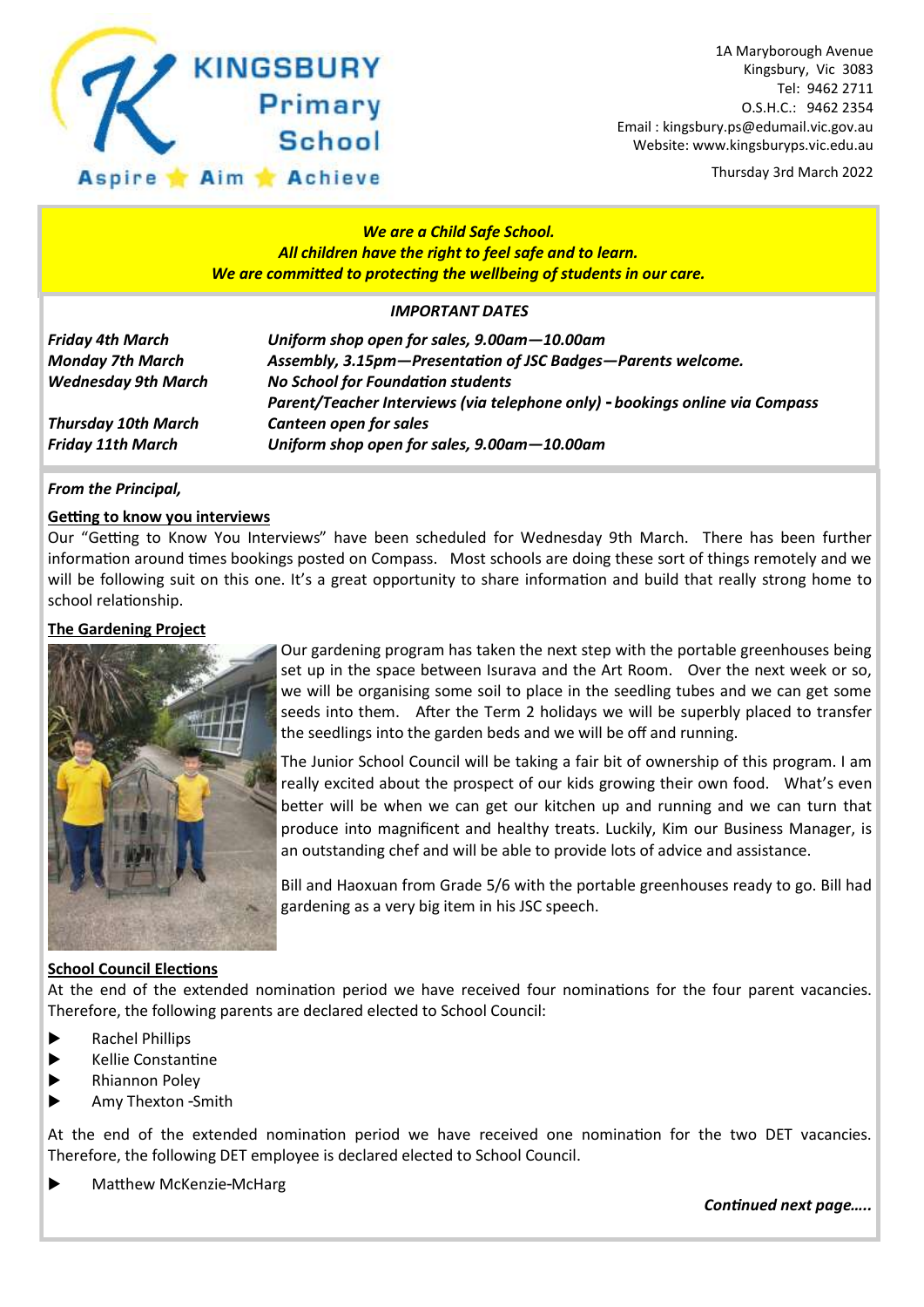

Thursday 3rd March 2022

### *We are a Child Safe School. All children have the right to feel safe and to learn. We are committed to protecting the wellbeing of students in our care.*

### *IMPORTANT DATES*

| <b>Friday 4th March</b>    | Uniform shop open for sales, 9.00am - 10.00am                                                                            |
|----------------------------|--------------------------------------------------------------------------------------------------------------------------|
| <b>Monday 7th March</b>    | Assembly, 3.15pm-Presentation of JSC Badges-Parents welcome.                                                             |
| <b>Wednesday 9th March</b> | <b>No School for Foundation students</b><br>Parent/Teacher Interviews (via telephone only) - bookings online via Compass |
| <b>Thursday 10th March</b> | <b>Canteen open for sales</b>                                                                                            |
| <b>Friday 11th March</b>   | Uniform shop open for sales, 9.00am-10.00am                                                                              |

### *From the Principal,*

### **Getting to know you interviews**

Our "Getting to Know You Interviews" have been scheduled for Wednesday 9th March. There has been further information around times bookings posted on Compass. Most schools are doing these sort of things remotely and we will be following suit on this one. It's a great opportunity to share information and build that really strong home to school relationship.

### **The Gardening Project**



Our gardening program has taken the next step with the portable greenhouses being set up in the space between Isurava and the Art Room. Over the next week or so, we will be organising some soil to place in the seedling tubes and we can get some seeds into them. After the Term 2 holidays we will be superbly placed to transfer the seedlings into the garden beds and we will be off and running.

The Junior School Council will be taking a fair bit of ownership of this program. I am really excited about the prospect of our kids growing their own food. What's even better will be when we can get our kitchen up and running and we can turn that produce into magnificent and healthy treats. Luckily, Kim our Business Manager, is an outstanding chef and will be able to provide lots of advice and assistance.

Bill and Haoxuan from Grade 5/6 with the portable greenhouses ready to go. Bill had gardening as a very big item in his JSC speech.

### **School Council Elections**

At the end of the extended nomination period we have received four nominations for the four parent vacancies. Therefore, the following parents are declared elected to School Council:

- **Rachel Phillips**
- $\blacktriangleright$  Kellie Constantine
- **Rhiannon Poley**
- Amy Thexton Smith

At the end of the extended nomination period we have received one nomination for the two DET vacancies. Therefore, the following DET employee is declared elected to School Council.

**Matthew McKenzie-McHarg** 

*Continued next page…..*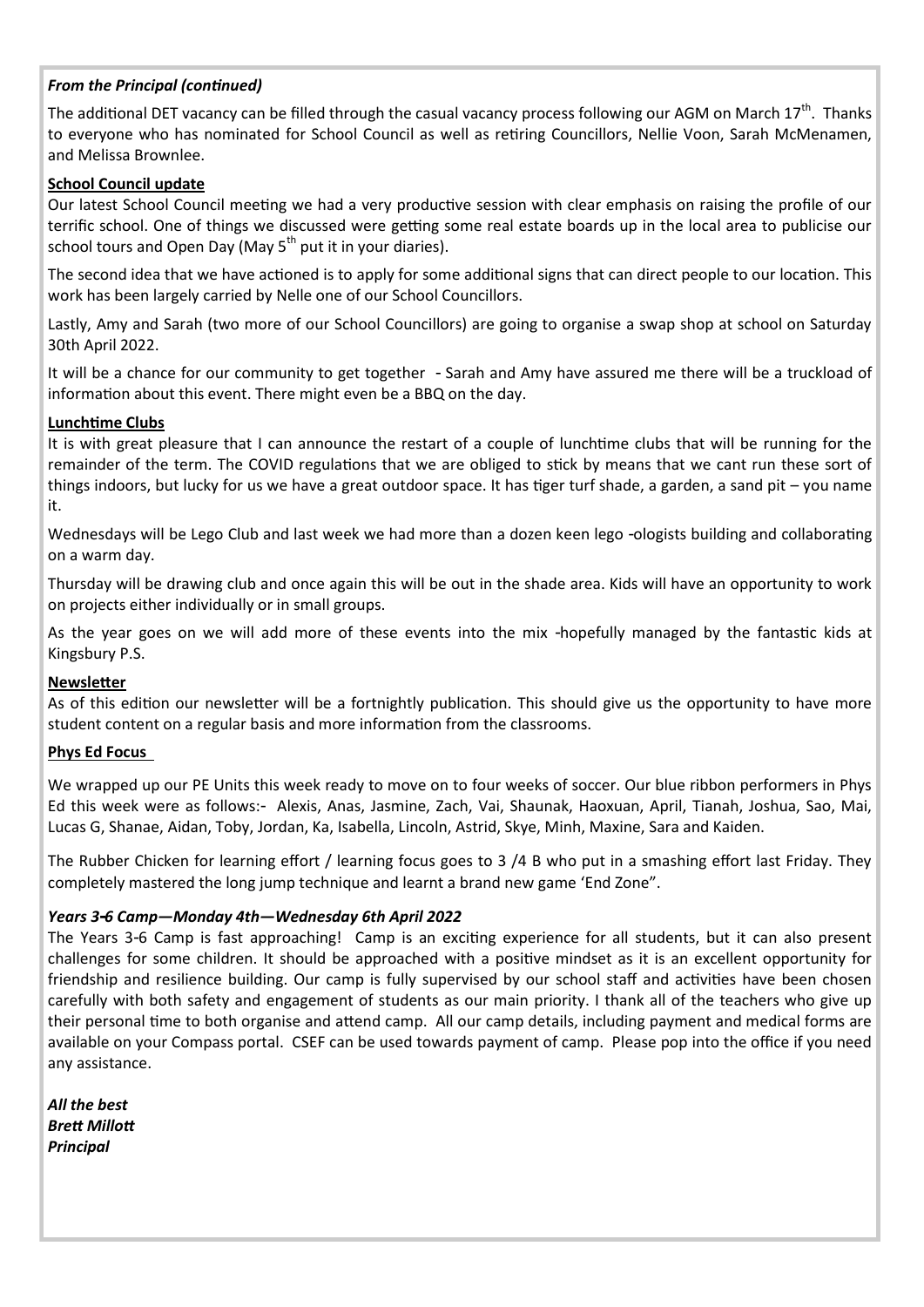### *From the Principal (continued)*

The additional DET vacancy can be filled through the casual vacancy process following our AGM on March  $17<sup>th</sup>$ . Thanks to everyone who has nominated for School Council as well as retiring Councillors, Nellie Voon, Sarah McMenamen, and Melissa Brownlee.

### **School Council update**

Our latest School Council meeting we had a very productive session with clear emphasis on raising the profile of our terrific school. One of things we discussed were getting some real estate boards up in the local area to publicise our school tours and Open Day (May  $5<sup>th</sup>$  put it in your diaries).

The second idea that we have actioned is to apply for some additional signs that can direct people to our location. This work has been largely carried by Nelle one of our School Councillors.

Lastly, Amy and Sarah (two more of our School Councillors) are going to organise a swap shop at school on Saturday 30th April 2022.

It will be a chance for our community to get together - Sarah and Amy have assured me there will be a truckload of information about this event. There might even be a BBQ on the day.

### **Lunchtime Clubs**

It is with great pleasure that I can announce the restart of a couple of lunchtime clubs that will be running for the remainder of the term. The COVID regulations that we are obliged to stick by means that we cant run these sort of things indoors, but lucky for us we have a great outdoor space. It has tiger turf shade, a garden, a sand pit – you name it.

Wednesdays will be Lego Club and last week we had more than a dozen keen lego -ologists building and collaborating on a warm day.

Thursday will be drawing club and once again this will be out in the shade area. Kids will have an opportunity to work on projects either individually or in small groups.

As the year goes on we will add more of these events into the mix -hopefully managed by the fantastic kids at Kingsbury P.S.

### **Newsletter**

As of this edition our newsletter will be a fortnightly publication. This should give us the opportunity to have more student content on a regular basis and more information from the classrooms.

### **Phys Ed Focus**

We wrapped up our PE Units this week ready to move on to four weeks of soccer. Our blue ribbon performers in Phys Ed this week were as follows:- Alexis, Anas, Jasmine, Zach, Vai, Shaunak, Haoxuan, April, Tianah, Joshua, Sao, Mai, Lucas G, Shanae, Aidan, Toby, Jordan, Ka, Isabella, Lincoln, Astrid, Skye, Minh, Maxine, Sara and Kaiden.

The Rubber Chicken for learning effort / learning focus goes to 3 /4 B who put in a smashing effort last Friday. They completely mastered the long jump technique and learnt a brand new game 'End Zone".

### *Years 3-6 Camp—Monday 4th—Wednesday 6th April 2022*

The Years 3-6 Camp is fast approaching! Camp is an exciting experience for all students, but it can also present challenges for some children. It should be approached with a positive mindset as it is an excellent opportunity for friendship and resilience building. Our camp is fully supervised by our school staff and activities have been chosen carefully with both safety and engagement of students as our main priority. I thank all of the teachers who give up their personal time to both organise and attend camp. All our camp details, including payment and medical forms are available on your Compass portal. CSEF can be used towards payment of camp. Please pop into the office if you need any assistance.

*All the best Brett Millott Principal*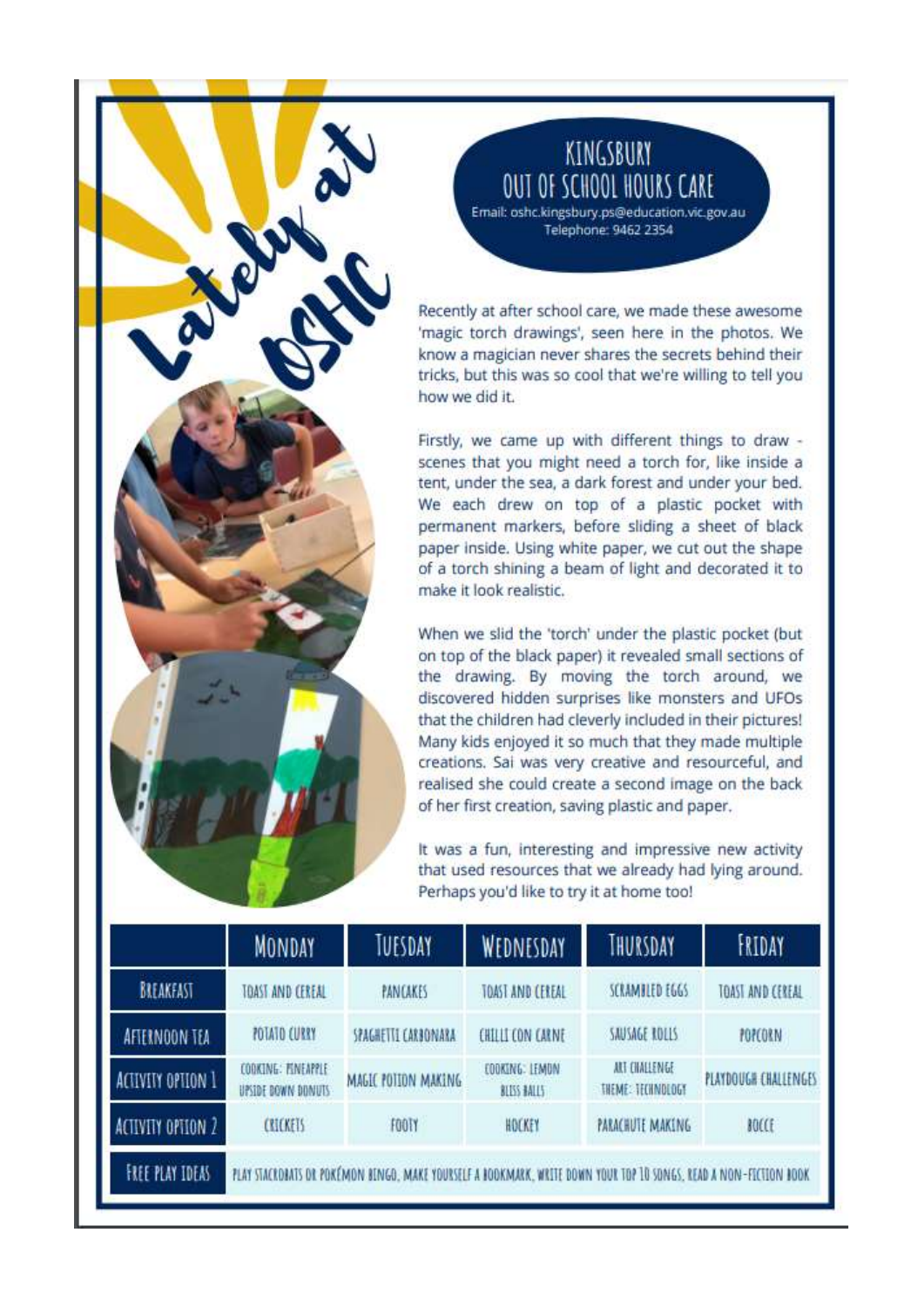### KINGSBURY **OUT OF SCHOOL HOURS CARE**

Email: oshc.kingsbury.ps@education.vic.gov.au Telephone: 9462 2354

Recently at after school care, we made these awesome 'magic torch drawings', seen here in the photos. We know a magician never shares the secrets behind their tricks, but this was so cool that we're willing to tell you how we did it.

Firstly, we came up with different things to draw scenes that you might need a torch for, like inside a tent, under the sea, a dark forest and under your bed. We each drew on top of a plastic pocket with permanent markers, before sliding a sheet of black paper inside. Using white paper, we cut out the shape of a torch shining a beam of light and decorated it to make it look realistic.

When we slid the 'torch' under the plastic pocket (but on top of the black paper) it revealed small sections of the drawing. By moving the torch around, we discovered hidden surprises like monsters and UFOs that the children had cleverly included in their pictures! Many kids enjoyed it so much that they made multiple creations. Sai was very creative and resourceful, and realised she could create a second image on the back of her first creation, saving plastic and paper.

It was a fun, interesting and impressive new activity that used resources that we already had lying around. Perhaps you'd like to try it at home too!

|                        | <b>MONDAY</b>                                                                                                     | TUESDAY             | WEDNESDAY                     | THURSDAY                                  | FRIDAY               |  |
|------------------------|-------------------------------------------------------------------------------------------------------------------|---------------------|-------------------------------|-------------------------------------------|----------------------|--|
| BREAKEAST              | TOAST AND CEREAL                                                                                                  | PANCAKES            | TOAST AND CEREAL              | SCRAMBLED EGGS                            | TOAST AND CEREAL     |  |
| <b>AFTERNOON TEA</b>   | POTATO CURRY                                                                                                      | SPAGHETTE CARBONARA | <b>CHILLI CON CARNE</b>       | SAUSAGE ROLLS                             | POPCORN              |  |
| ACTIVITY OPTION 1      | COOKING: FINEAPPLE<br>UPSIDE BOWN DONUTS                                                                          | MAGIC POTION MAKING | EDOKING: LEMON<br>BLUSS BALLS | ART CHALLENGE<br><b>THEME: TECHNOLOGY</b> | PLAYDOUGH CHALLENGES |  |
| ACTIVITY OPTION 2      | <b>CRICKETS</b>                                                                                                   | <b>FOOTY</b>        | HOCKEY                        | PARACHUTE MAKING                          | BOCCE                |  |
| <b>FREE PLAY IDEAS</b> | PLAY STACKDAATS DR POKÉMON BENGO, MAKE YOURSELF A BOOKMARK, WRITE DOWN YOUR TOP 10 SONGS, READ A NON-FECTION BOOK |                     |                               |                                           |                      |  |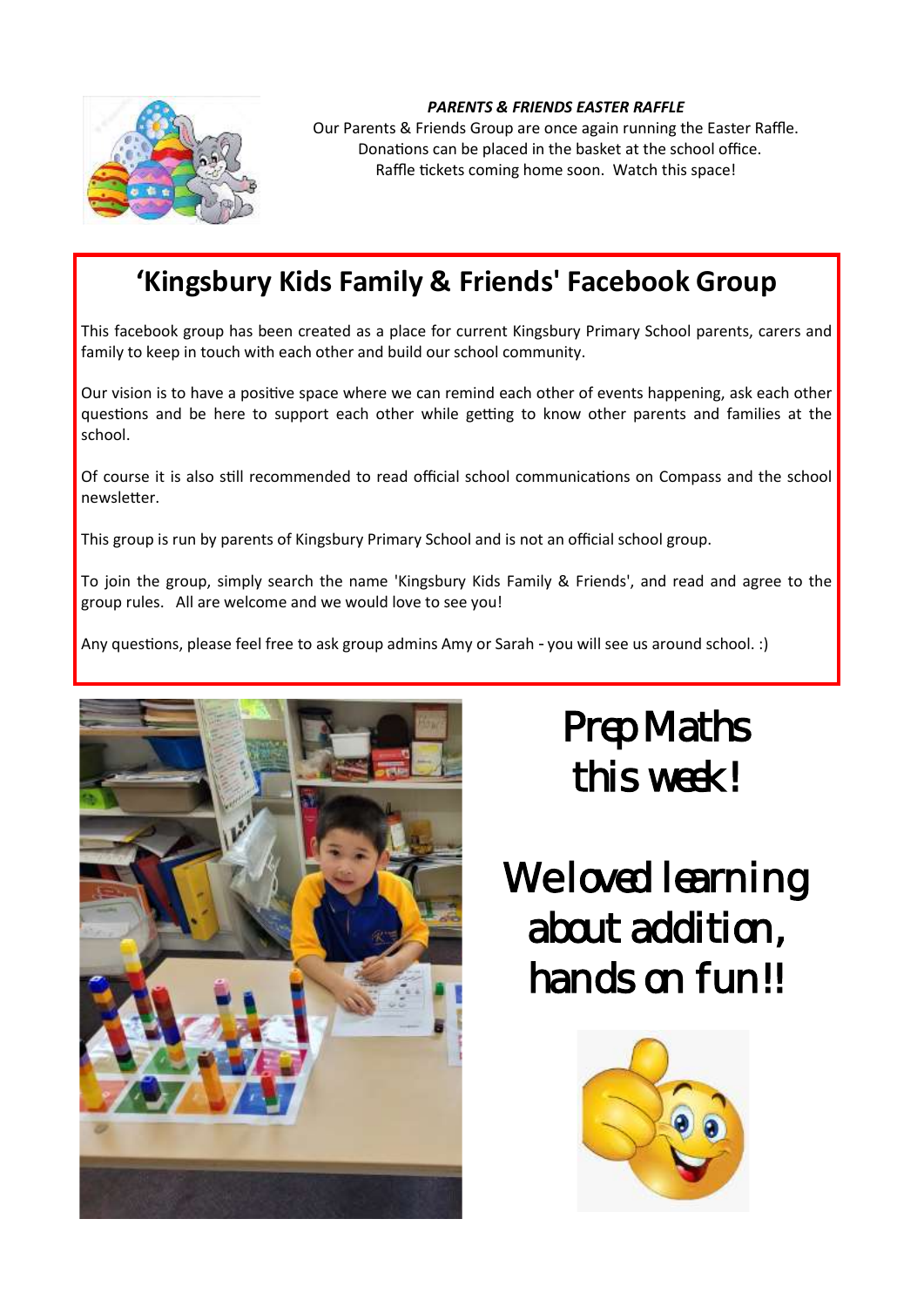

### *PARENTS & FRIENDS EASTER RAFFLE*

Our Parents & Friends Group are once again running the Easter Raffle. Donations can be placed in the basket at the school office. Raffle tickets coming home soon. Watch this space!

### **'Kingsbury Kids Family & Friends' Facebook Group**

This facebook group has been created as a place for current Kingsbury Primary School parents, carers and family to keep in touch with each other and build our school community.

Our vision is to have a positive space where we can remind each other of events happening, ask each other questions and be here to support each other while getting to know other parents and families at the school.

Of course it is also still recommended to read official school communications on Compass and the school newsletter.

This group is run by parents of Kingsbury Primary School and is not an official school group.

To join the group, simply search the name 'Kingsbury Kids Family & Friends', and read and agree to the group rules. All are welcome and we would love to see you!

Any questions, please feel free to ask group admins Amy or Sarah - you will see us around school. :)



## Prep Maths this week!

We loved learning about addition, hands on fun!!

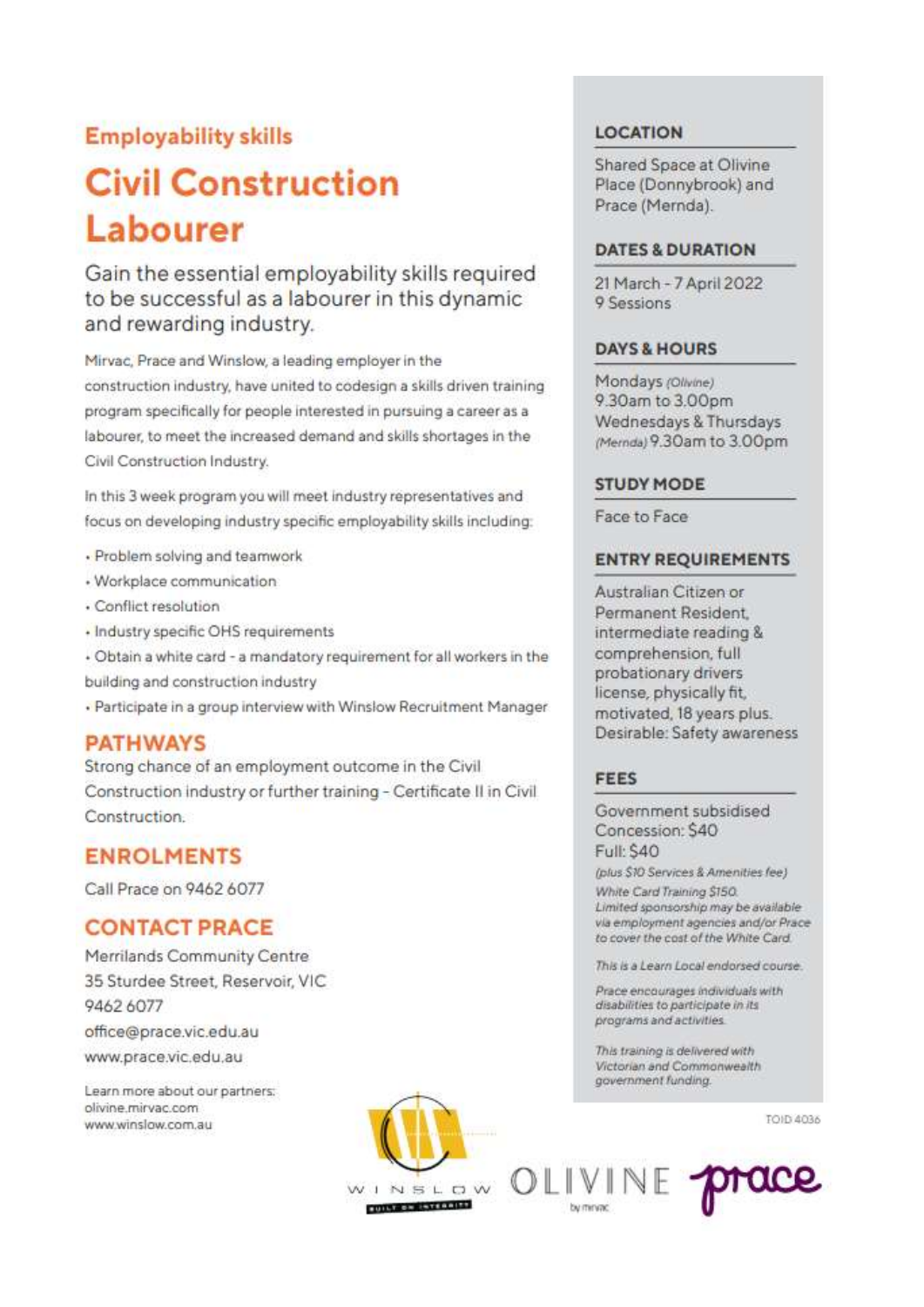### **Employability skills**

### **Civil Construction** Labourer

Gain the essential employability skills required to be successful as a labourer in this dynamic and rewarding industry.

Mirvac, Prace and Winslow, a leading employer in the construction industry, have united to codesign a skills driven training program specifically for people interested in pursuing a career as a labourer, to meet the increased demand and skills shortages in the Civil Construction Industry.

In this 3 week program you will meet industry representatives and focus on developing industry specific employability skills including:

- · Problem solving and teamwork
- · Workplace communication
- · Conflict resolution
- · Industry specific OHS requirements

- Obtain a white card - a mandatory requirement for all workers in the building and construction industry

. Participate in a group interview with Winslow Recruitment Manager

### **PATHWAYS**

Strong chance of an employment outcome in the Civil Construction industry or further training - Certificate II in Civil Construction

### **ENROLMENTS**

Call Prace on 9462 6077

### **CONTACT PRACE**

Merrilands Community Centre 35 Sturdee Street, Reservoir, VIC 9462 6077 office@prace.vic.edu.au www.prace.vic.edu.au

Learn more about our partners: olivine mirvac com www.winslow.com.au



**LOCATION** 

Shared Space at Olivine Place (Donnybrook) and Prace (Mernda).

### DATES & DURATION

21 March - 7 April 2022 9 Sessions

### **DAYS & HOURS**

Mondays (Olivine) 9.30am to 3.00pm Wednesdays & Thursdays (Mernda) 9.30am to 3.00pm

### **STUDY MODE**

Face to Face

### **ENTRY REQUIREMENTS**

Australian Citizen or Permanent Resident. intermediate reading & comprehension, full probationary drivers license, physically fit, motivated, 18 years plus. Desirable: Safety awareness

### FEES

Government subsidised Concession: \$40 Full: \$40

(plus \$10 Services & Amenities fee) White Card Training \$150.

Limited sponsorship may be available via employment agencies and/or Prace to cover the cost of the White Card.

This is a Learn Local endorsed course.

Prace encourages individuals with disabilities to participate in its programs and activities.

This training is delivered with Victorian and Commonwealth government funding.

TOID 4036